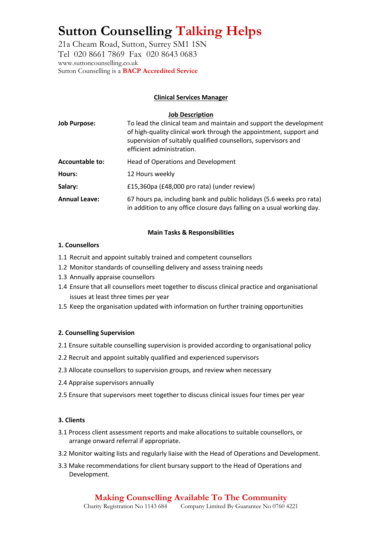## **Sutton Counselling Talking Helps**

21a Cheam Road, Sutton, Surrey SM1 1SN Tel 020 8661 7869 Fax 020 8643 0683 www.suttoncounselling.co.uk Sutton Counselling is a **BACP Accredited Service**

#### **Clinical Services Manager**

#### **Job Description**

| <b>Job Purpose:</b>    | To lead the clinical team and maintain and support the development<br>of high-quality clinical work through the appointment, support and<br>supervision of suitably qualified counsellors, supervisors and<br>efficient administration. |  |
|------------------------|-----------------------------------------------------------------------------------------------------------------------------------------------------------------------------------------------------------------------------------------|--|
| <b>Accountable to:</b> | Head of Operations and Development                                                                                                                                                                                                      |  |
| Hours:                 | 12 Hours weekly                                                                                                                                                                                                                         |  |
| Salary:                | £15,360pa (£48,000 pro rata) (under review)                                                                                                                                                                                             |  |
| <b>Annual Leave:</b>   | 67 hours pa, including bank and public holidays (5.6 weeks pro rata)<br>in addition to any office closure days falling on a usual working day.                                                                                          |  |

#### **Main Tasks & Responsibilities**

#### **1. Counsellors**

- 1.1 Recruit and appoint suitably trained and competent counsellors
- 1.2 Monitor standards of counselling delivery and assess training needs
- 1.3 Annually appraise counsellors
- 1.4 Ensure that all counsellors meet together to discuss clinical practice and organisational issues at least three times per year
- 1.5 Keep the organisation updated with information on further training opportunities

#### **2. Counselling Supervision**

- 2.1 Ensure suitable counselling supervision is provided according to organisational policy
- 2.2 Recruit and appoint suitably qualified and experienced supervisors
- 2.3 Allocate counsellors to supervision groups, and review when necessary
- 2.4 Appraise supervisors annually
- 2.5 Ensure that supervisors meet together to discuss clinical issues four times per year

#### **3. Clients**

- 3.1 Process client assessment reports and make allocations to suitable counsellors, or arrange onward referral if appropriate.
- 3.2 Monitor waiting lists and regularly liaise with the Head of Operations and Development.
- 3.3 Make recommendations for client bursary support to the Head of Operations and Development.

### **Making Counselling Available To The Community**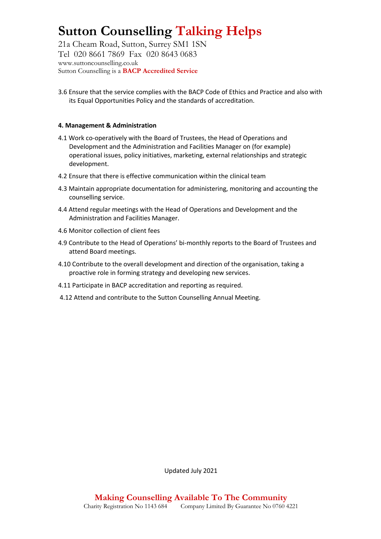## **Sutton Counselling Talking Helps**

21a Cheam Road, Sutton, Surrey SM1 1SN Tel 020 8661 7869 Fax 020 8643 0683 www.suttoncounselling.co.uk Sutton Counselling is a **BACP Accredited Service**

3.6 Ensure that the service complies with the BACP Code of Ethics and Practice and also with its Equal Opportunities Policy and the standards of accreditation.

#### **4. Management & Administration**

- 4.1 Work co-operatively with the Board of Trustees, the Head of Operations and Development and the Administration and Facilities Manager on (for example) operational issues, policy initiatives, marketing, external relationships and strategic development.
- 4.2 Ensure that there is effective communication within the clinical team
- 4.3 Maintain appropriate documentation for administering, monitoring and accounting the counselling service.
- 4.4 Attend regular meetings with the Head of Operations and Development and the Administration and Facilities Manager.
- 4.6 Monitor collection of client fees
- 4.9 Contribute to the Head of Operations' bi-monthly reports to the Board of Trustees and attend Board meetings.
- 4.10 Contribute to the overall development and direction of the organisation, taking a proactive role in forming strategy and developing new services.
- 4.11 Participate in BACP accreditation and reporting as required.
- 4.12 Attend and contribute to the Sutton Counselling Annual Meeting.

Updated July 2021